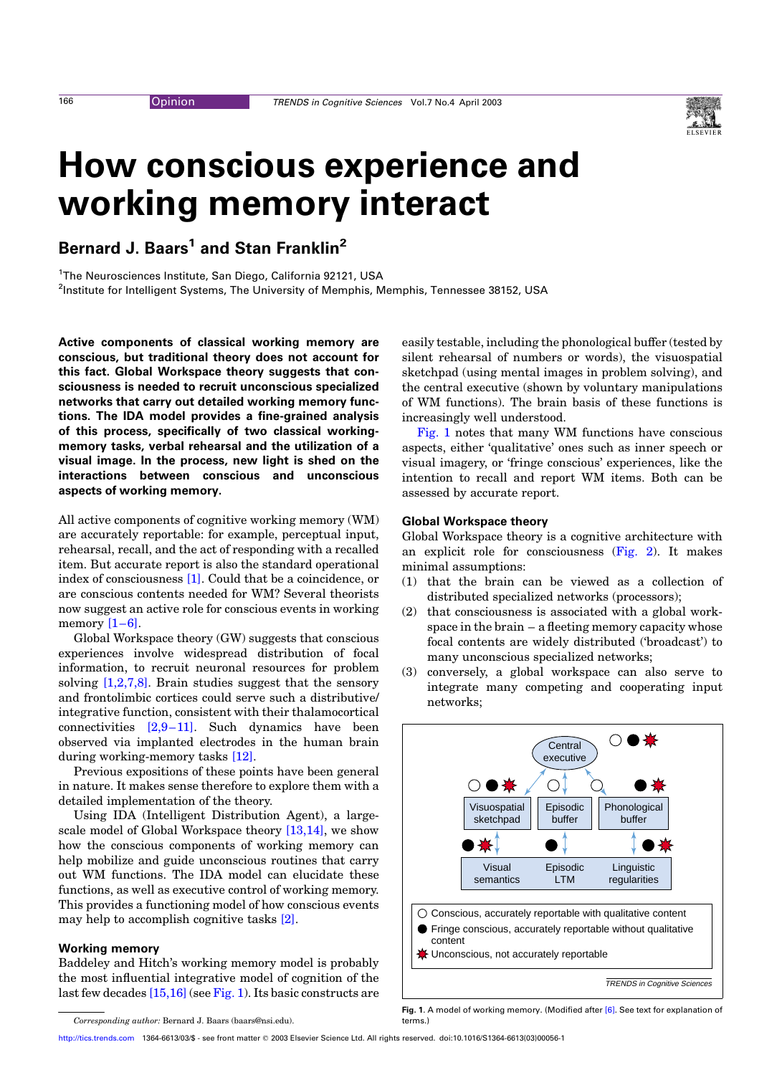# How conscious experience and working memory interact

Bernard J. Baars<sup>1</sup> and Stan Franklin<sup>2</sup>

<sup>1</sup>The Neurosciences Institute, San Diego, California 92121, USA 2 Institute for Intelligent Systems, The University of Memphis, Memphis, Tennessee 38152, USA

Active components of classical working memory are conscious, but traditional theory does not account for this fact. Global Workspace theory suggests that consciousness is needed to recruit unconscious specialized networks that carry out detailed working memory functions. The IDA model provides a fine-grained analysis of this process, specifically of two classical workingmemory tasks, verbal rehearsal and the utilization of a visual image. In the process, new light is shed on the interactions between conscious and unconscious aspects of working memory.

All active components of cognitive working memory (WM) are accurately reportable: for example, perceptual input, rehearsal, recall, and the act of responding with a recalled item. But accurate report is also the standard operational index of consciousness [\[1\].](#page-6-0) Could that be a coincidence, or are conscious contents needed for WM? Several theorists now suggest an active role for conscious events in working memory [\[1–6\]](#page-6-0).

Global Workspace theory (GW) suggests that conscious experiences involve widespread distribution of focal information, to recruit neuronal resources for problem solving [\[1,2,7,8\].](#page-6-0) Brain studies suggest that the sensory and frontolimbic cortices could serve such a distributive/ integrative function, consistent with their thalamocortical connectivities [\[2,9–11\].](#page-6-0) Such dynamics have been observed via implanted electrodes in the human brain during working-memory tasks [\[12\]](#page-6-0).

Previous expositions of these points have been general in nature. It makes sense therefore to explore them with a detailed implementation of the theory.

Using IDA (Intelligent Distribution Agent), a largescale model of Global Workspace theory [\[13,14\],](#page-6-0) we show how the conscious components of working memory can help mobilize and guide unconscious routines that carry out WM functions. The IDA model can elucidate these functions, as well as executive control of working memory. This provides a functioning model of how conscious events may help to accomplish cognitive tasks [\[2\]](#page-6-0).

# Working memory

Baddeley and Hitch's working memory model is probably the most influential integrative model of cognition of the last few decades  $[15,16]$  (see Fig. 1). Its basic constructs are

Corresponding author: Bernard J. Baars (baars@nsi.edu).

easily testable, including the phonological buffer (tested by silent rehearsal of numbers or words), the visuospatial sketchpad (using mental images in problem solving), and the central executive (shown by voluntary manipulations of WM functions). The brain basis of these functions is increasingly well understood.

Fig. 1 notes that many WM functions have conscious aspects, either 'qualitative' ones such as inner speech or visual imagery, or 'fringe conscious' experiences, like the intention to recall and report WM items. Both can be assessed by accurate report.

# Global Workspace theory

Global Workspace theory is a cognitive architecture with an explicit role for consciousness ([Fig. 2](#page-1-0)). It makes minimal assumptions:

- (1) that the brain can be viewed as a collection of distributed specialized networks (processors);
- (2) that consciousness is associated with a global workspace in the brain – a fleeting memory capacity whose focal contents are widely distributed ('broadcast') to many unconscious specialized networks;
- (3) conversely, a global workspace can also serve to integrate many competing and cooperating input networks;



Fig. 1. A model of working memory. (Modified after [\[6\].](#page-6-0) See text for explanation of terms.)

[http://tics.trends.com](http://www.trends.com) 1364-6613/03/\$ - see front matter @ 2003 Elsevier Science Ltd. All rights reserved. doi:10.1016/S1364-6613(03)00056-1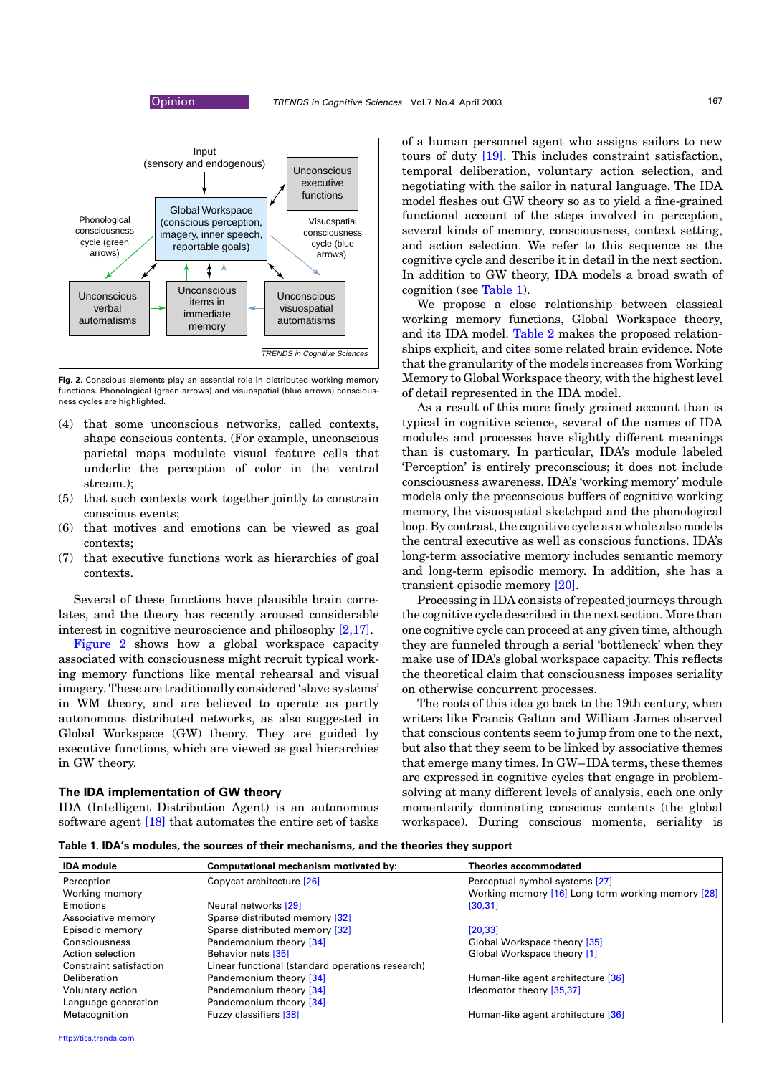<span id="page-1-0"></span>

Fig. 2. Conscious elements play an essential role in distributed working memory functions. Phonological (green arrows) and visuospatial (blue arrows) consciousness cycles are highlighted.

- (4) that some unconscious networks, called contexts, shape conscious contents. (For example, unconscious parietal maps modulate visual feature cells that underlie the perception of color in the ventral stream.);
- (5) that such contexts work together jointly to constrain conscious events;
- (6) that motives and emotions can be viewed as goal contexts;
- (7) that executive functions work as hierarchies of goal contexts.

Several of these functions have plausible brain correlates, and the theory has recently aroused considerable interest in cognitive neuroscience and philosophy [\[2,17\].](#page-6-0)

Figure 2 shows how a global workspace capacity associated with consciousness might recruit typical working memory functions like mental rehearsal and visual imagery. These are traditionally considered 'slave systems' in WM theory, and are believed to operate as partly autonomous distributed networks, as also suggested in Global Workspace (GW) theory. They are guided by executive functions, which are viewed as goal hierarchies in GW theory.

# The IDA implementation of GW theory

IDA (Intelligent Distribution Agent) is an autonomous software agent [\[18\]](#page-6-0) that automates the entire set of tasks of a human personnel agent who assigns sailors to new tours of duty [\[19\]](#page-6-0). This includes constraint satisfaction, temporal deliberation, voluntary action selection, and negotiating with the sailor in natural language. The IDA model fleshes out GW theory so as to yield a fine-grained functional account of the steps involved in perception, several kinds of memory, consciousness, context setting, and action selection. We refer to this sequence as the cognitive cycle and describe it in detail in the next section. In addition to GW theory, IDA models a broad swath of cognition (see Table 1).

We propose a close relationship between classical working memory functions, Global Workspace theory, and its IDA model. [Table 2](#page-2-0) makes the proposed relationships explicit, and cites some related brain evidence. Note that the granularity of the models increases from Working Memory to Global Workspace theory, with the highest level of detail represented in the IDA model.

As a result of this more finely grained account than is typical in cognitive science, several of the names of IDA modules and processes have slightly different meanings than is customary. In particular, IDA's module labeled 'Perception' is entirely preconscious; it does not include consciousness awareness. IDA's 'working memory' module models only the preconscious buffers of cognitive working memory, the visuospatial sketchpad and the phonological loop. By contrast, the cognitive cycle as a whole also models the central executive as well as conscious functions. IDA's long-term associative memory includes semantic memory and long-term episodic memory. In addition, she has a transient episodic memory [\[20\].](#page-6-0)

Processing in IDA consists of repeated journeys through the cognitive cycle described in the next section. More than one cognitive cycle can proceed at any given time, although they are funneled through a serial 'bottleneck' when they make use of IDA's global workspace capacity. This reflects the theoretical claim that consciousness imposes seriality on otherwise concurrent processes.

The roots of this idea go back to the 19th century, when writers like Francis Galton and William James observed that conscious contents seem to jump from one to the next, but also that they seem to be linked by associative themes that emerge many times. In GW–IDA terms, these themes are expressed in cognitive cycles that engage in problemsolving at many different levels of analysis, each one only momentarily dominating conscious contents (the global workspace). During conscious moments, seriality is

Table 1. IDA's modules, the sources of their mechanisms, and the theories they support

| <b>IDA</b> module       | Computational mechanism motivated by:            | <b>Theories accommodated</b><br>Perceptual symbol systems [27] |  |
|-------------------------|--------------------------------------------------|----------------------------------------------------------------|--|
| Perception              | Copycat architecture [26]                        |                                                                |  |
| Working memory          |                                                  | Working memory [16] Long-term working memory [28]              |  |
| Emotions                | Neural networks [29]                             | [30, 31]                                                       |  |
| Associative memory      | Sparse distributed memory [32]                   |                                                                |  |
| Episodic memory         | Sparse distributed memory [32]                   | [20, 33]                                                       |  |
| Consciousness           | Pandemonium theory [34]                          | Global Workspace theory [35]                                   |  |
| Action selection        | Behavior nets [35]                               | Global Workspace theory [1]                                    |  |
| Constraint satisfaction | Linear functional (standard operations research) |                                                                |  |
| Deliberation            | Pandemonium theory [34]                          | Human-like agent architecture [36]                             |  |
| Voluntary action        | Pandemonium theory [34]                          | Ideomotor theory [35,37]                                       |  |
| Language generation     | Pandemonium theory [34]                          |                                                                |  |
| Metacognition           | <b>Fuzzy classifiers [38]</b>                    | Human-like agent architecture [36]                             |  |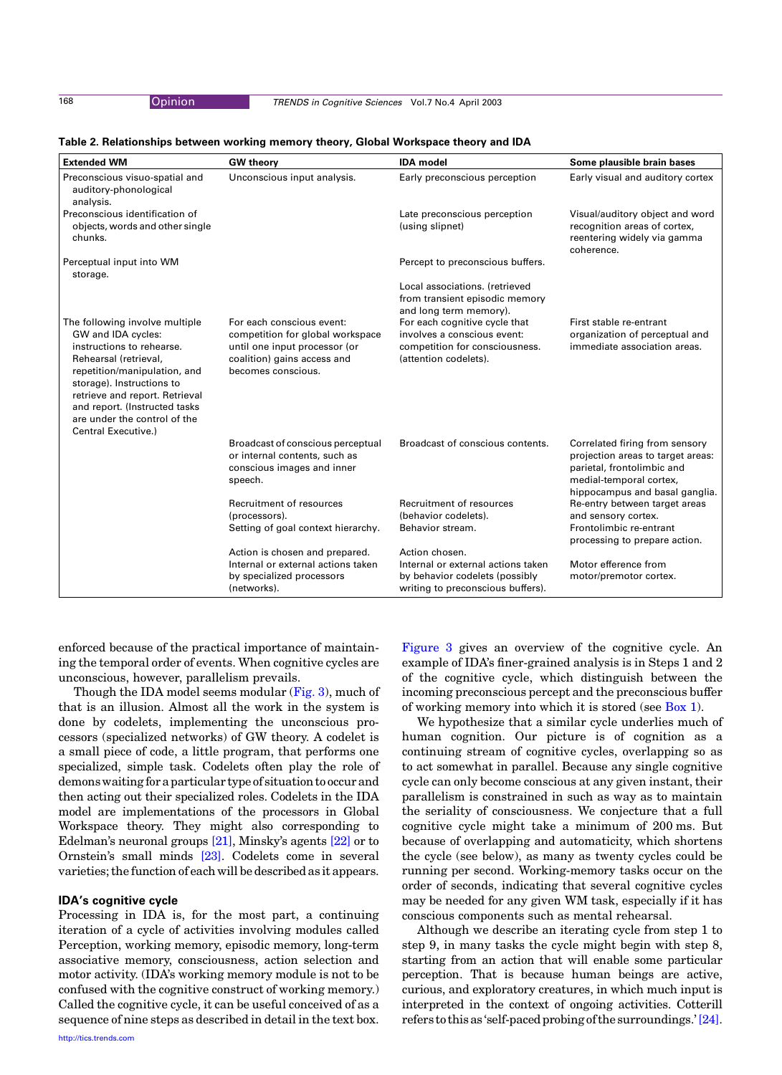<span id="page-2-0"></span>

| <b>Extended WM</b>                                                                                                                                                                                                                                              | <b>GW theory</b>                                                                                                       | <b>IDA</b> model                                                                                                            | Some plausible brain bases                                                                                                                                     |
|-----------------------------------------------------------------------------------------------------------------------------------------------------------------------------------------------------------------------------------------------------------------|------------------------------------------------------------------------------------------------------------------------|-----------------------------------------------------------------------------------------------------------------------------|----------------------------------------------------------------------------------------------------------------------------------------------------------------|
| Preconscious visuo-spatial and<br>auditory-phonological<br>analysis.                                                                                                                                                                                            | Unconscious input analysis.                                                                                            | Early preconscious perception                                                                                               | Early visual and auditory cortex                                                                                                                               |
| Preconscious identification of<br>objects, words and other single<br>chunks.                                                                                                                                                                                    |                                                                                                                        | Late preconscious perception<br>(using slipnet)                                                                             | Visual/auditory object and word<br>recognition areas of cortex,<br>reentering widely via gamma<br>coherence.                                                   |
| Perceptual input into WM<br>storage.                                                                                                                                                                                                                            |                                                                                                                        | Percept to preconscious buffers.                                                                                            |                                                                                                                                                                |
| The following involve multiple                                                                                                                                                                                                                                  | For each conscious event:                                                                                              | Local associations. (retrieved<br>from transient episodic memory<br>and long term memory).<br>For each cognitive cycle that | First stable re-entrant                                                                                                                                        |
| GW and IDA cycles:<br>instructions to rehearse.<br>Rehearsal (retrieval,<br>repetition/manipulation, and<br>storage). Instructions to<br>retrieve and report. Retrieval<br>and report. (Instructed tasks<br>are under the control of the<br>Central Executive.) | competition for global workspace<br>until one input processor (or<br>coalition) gains access and<br>becomes conscious. | involves a conscious event:<br>competition for consciousness.<br>(attention codelets).                                      | organization of perceptual and<br>immediate association areas.                                                                                                 |
|                                                                                                                                                                                                                                                                 | Broadcast of conscious perceptual<br>or internal contents, such as<br>conscious images and inner<br>speech.            | Broadcast of conscious contents.                                                                                            | Correlated firing from sensory<br>projection areas to target areas:<br>parietal, frontolimbic and<br>medial-temporal cortex,<br>hippocampus and basal ganglia. |
|                                                                                                                                                                                                                                                                 | Recruitment of resources<br>(processors).                                                                              | Recruitment of resources<br>(behavior codelets).                                                                            | Re-entry between target areas<br>and sensory cortex.                                                                                                           |
|                                                                                                                                                                                                                                                                 | Setting of goal context hierarchy.                                                                                     | Behavior stream.                                                                                                            | Frontolimbic re-entrant<br>processing to prepare action.                                                                                                       |
|                                                                                                                                                                                                                                                                 | Action is chosen and prepared.                                                                                         | Action chosen.                                                                                                              |                                                                                                                                                                |
|                                                                                                                                                                                                                                                                 | Internal or external actions taken<br>by specialized processors                                                        | Internal or external actions taken<br>by behavior codelets (possibly                                                        | Motor efference from<br>motor/premotor cortex.                                                                                                                 |
|                                                                                                                                                                                                                                                                 | (networks).                                                                                                            | writing to preconscious buffers).                                                                                           |                                                                                                                                                                |

enforced because of the practical importance of maintaining the temporal order of events. When cognitive cycles are unconscious, however, parallelism prevails.

Though the IDA model seems modular ([Fig. 3](#page-3-0)), much of that is an illusion. Almost all the work in the system is done by codelets, implementing the unconscious processors (specialized networks) of GW theory. A codelet is a small piece of code, a little program, that performs one specialized, simple task. Codelets often play the role of demons waiting for a particular type of situation to occur and then acting out their specialized roles. Codelets in the IDA model are implementations of the processors in Global Workspace theory. They might also corresponding to Edelman's neuronal groups [\[21\],](#page-6-0) Minsky's agents [\[22\]](#page-6-0) or to Ornstein's small minds [\[23\]](#page-6-0). Codelets come in several varieties; the function of each will be described as it appears.

# IDA's cognitive cycle

Processing in IDA is, for the most part, a continuing iteration of a cycle of activities involving modules called Perception, working memory, episodic memory, long-term associative memory, consciousness, action selection and motor activity. (IDA's working memory module is not to be confused with the cognitive construct of working memory.) Called the cognitive cycle, it can be useful conceived of as a sequence of nine steps as described in detail in the text box. [Figure 3](#page-3-0) gives an overview of the cognitive cycle. An example of IDA's finer-grained analysis is in Steps 1 and 2 of the cognitive cycle, which distinguish between the incoming preconscious percept and the preconscious buffer of working memory into which it is stored (see [Box 1\)](#page-4-0).

We hypothesize that a similar cycle underlies much of human cognition. Our picture is of cognition as a continuing stream of cognitive cycles, overlapping so as to act somewhat in parallel. Because any single cognitive cycle can only become conscious at any given instant, their parallelism is constrained in such as way as to maintain the seriality of consciousness. We conjecture that a full cognitive cycle might take a minimum of 200 ms. But because of overlapping and automaticity, which shortens the cycle (see below), as many as twenty cycles could be running per second. Working-memory tasks occur on the order of seconds, indicating that several cognitive cycles may be needed for any given WM task, especially if it has conscious components such as mental rehearsal.

Although we describe an iterating cycle from step 1 to step 9, in many tasks the cycle might begin with step 8, starting from an action that will enable some particular perception. That is because human beings are active, curious, and exploratory creatures, in which much input is interpreted in the context of ongoing activities. Cotterill refers to this as 'self-paced probing of the surroundings.' [\[24\]](#page-6-0).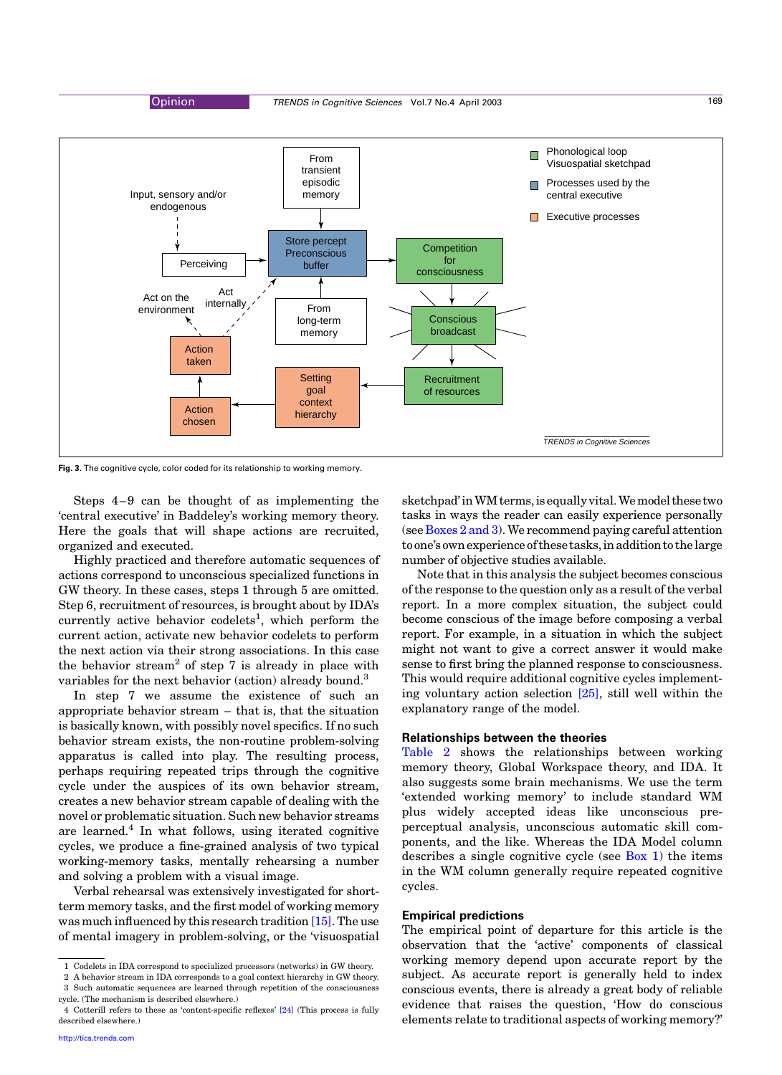<span id="page-3-0"></span>

Fig. 3. The cognitive cycle, color coded for its relationship to working memory.

Steps 4–9 can be thought of as implementing the 'central executive' in Baddeley's working memory theory. Here the goals that will shape actions are recruited, organized and executed.

Highly practiced and therefore automatic sequences of actions correspond to unconscious specialized functions in GW theory. In these cases, steps 1 through 5 are omitted. Step 6, recruitment of resources, is brought about by IDA's currently active behavior codelets<sup>1</sup>, which perform the current action, activate new behavior codelets to perform the next action via their strong associations. In this case the behavior stream<sup>2</sup> of step  $\overline{7}$  is already in place with variables for the next behavior (action) already bound.<sup>3</sup>

In step 7 we assume the existence of such an appropriate behavior stream – that is, that the situation is basically known, with possibly novel specifics. If no such behavior stream exists, the non-routine problem-solving apparatus is called into play. The resulting process, perhaps requiring repeated trips through the cognitive cycle under the auspices of its own behavior stream, creates a new behavior stream capable of dealing with the novel or problematic situation. Such new behavior streams are learned.<sup>4</sup> In what follows, using iterated cognitive cycles, we produce a fine-grained analysis of two typical working-memory tasks, mentally rehearsing a number and solving a problem with a visual image.

Verbal rehearsal was extensively investigated for shortterm memory tasks, and the first model of working memory was much influenced by this research tradition [\[15\].](#page-6-0) The use of mental imagery in problem-solving, or the 'visuospatial sketchpad' in WM terms, is equally vital. We model these two tasks in ways the reader can easily experience personally (see [Boxes 2 and 3](#page-5-0)). We recommend paying careful attention toone'sownexperienceofthesetasks,inadditiontothelarge number of objective studies available.

Note that in this analysis the subject becomes conscious of the response to the question only as a result of the verbal report. In a more complex situation, the subject could become conscious of the image before composing a verbal report. For example, in a situation in which the subject might not want to give a correct answer it would make sense to first bring the planned response to consciousness. This would require additional cognitive cycles implementing voluntary action selection [\[25\]](#page-6-0), still well within the explanatory range of the model.

# Relationships between the theories

[Table 2](#page-2-0) shows the relationships between working memory theory, Global Workspace theory, and IDA. It also suggests some brain mechanisms. We use the term 'extended working memory' to include standard WM plus widely accepted ideas like unconscious preperceptual analysis, unconscious automatic skill components, and the like. Whereas the IDA Model column describes a single cognitive cycle (see  $Box 1$ ) the items in the WM column generally require repeated cognitive cycles.

# Empirical predictions

The empirical point of departure for this article is the observation that the 'active' components of classical working memory depend upon accurate report by the subject. As accurate report is generally held to index conscious events, there is already a great body of reliable evidence that raises the question, 'How do conscious elements relate to traditional aspects of working memory?'

<sup>1</sup> Codelets in IDA correspond to specialized processors (networks) in GW theory.

<sup>2</sup> A behavior stream in IDA corresponds to a goal context hierarchy in GW theory.

<sup>3</sup> Such automatic sequences are learned through repetition of the consciousness cycle. (The mechanism is described elsewhere.)

<sup>4</sup> Cotterill refers to these as 'content-specific reflexes' [\[24\]](#page-6-0) (This process is fully described elsewhere.)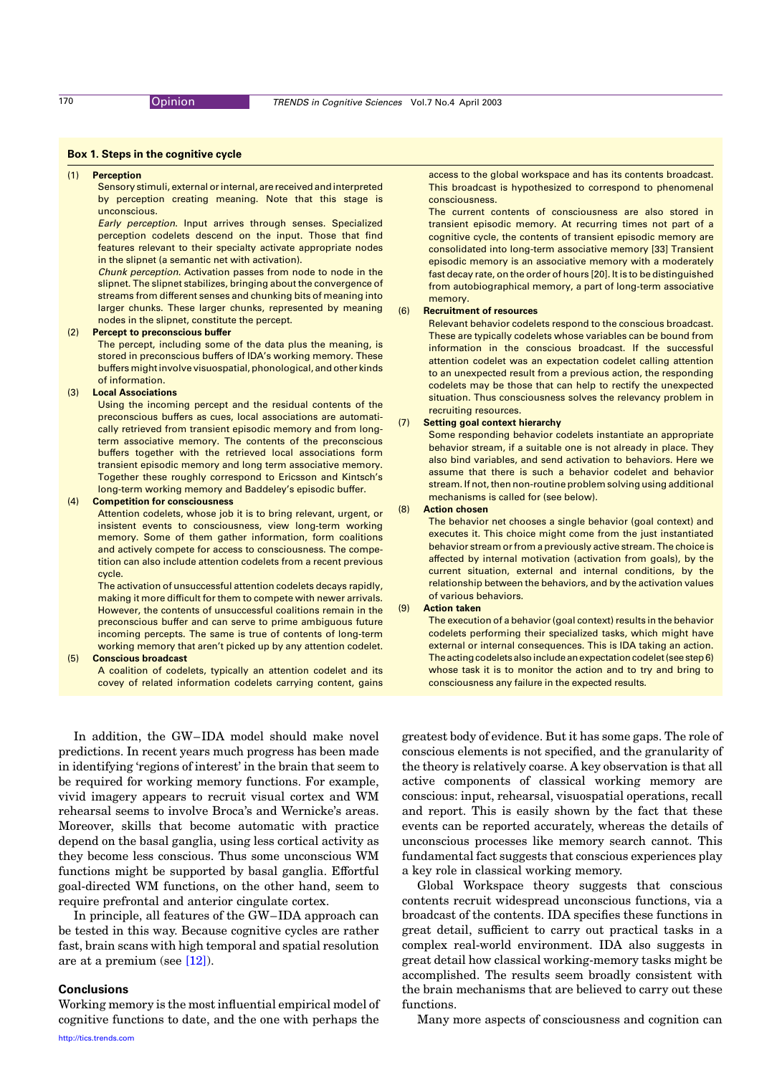# <span id="page-4-0"></span>Box 1. Steps in the cognitive cycle

### (1) Perception

Sensory stimuli, external or internal, are received and interpreted by perception creating meaning. Note that this stage is unconscious.

Early perception. Input arrives through senses. Specialized perception codelets descend on the input. Those that find features relevant to their specialty activate appropriate nodes in the slipnet (a semantic net with activation).

Chunk perception. Activation passes from node to node in the slipnet. The slipnet stabilizes, bringing about the convergence of streams from different senses and chunking bits of meaning into larger chunks. These larger chunks, represented by meaning nodes in the slipnet, constitute the percept.

#### (2) Percept to preconscious buffer

The percept, including some of the data plus the meaning, is stored in preconscious buffers of IDA's working memory. These buffers might involve visuospatial, phonological, and other kinds of information.

### (3) Local Associations

Using the incoming percept and the residual contents of the preconscious buffers as cues, local associations are automatically retrieved from transient episodic memory and from longterm associative memory. The contents of the preconscious buffers together with the retrieved local associations form transient episodic memory and long term associative memory. Together these roughly correspond to Ericsson and Kintsch's long-term working memory and Baddeley's episodic buffer.

#### (4) Competition for consciousness

Attention codelets, whose job it is to bring relevant, urgent, or insistent events to consciousness, view long-term working memory. Some of them gather information, form coalitions and actively compete for access to consciousness. The competition can also include attention codelets from a recent previous cycle.

The activation of unsuccessful attention codelets decays rapidly, making it more difficult for them to compete with newer arrivals. However, the contents of unsuccessful coalitions remain in the preconscious buffer and can serve to prime ambiguous future incoming percepts. The same is true of contents of long-term working memory that aren't picked up by any attention codelet.

# (5) Conscious broadcast

A coalition of codelets, typically an attention codelet and its covey of related information codelets carrying content, gains

In addition, the GW–IDA model should make novel predictions. In recent years much progress has been made in identifying 'regions of interest' in the brain that seem to be required for working memory functions. For example, vivid imagery appears to recruit visual cortex and WM rehearsal seems to involve Broca's and Wernicke's areas. Moreover, skills that become automatic with practice depend on the basal ganglia, using less cortical activity as they become less conscious. Thus some unconscious WM functions might be supported by basal ganglia. Effortful goal-directed WM functions, on the other hand, seem to require prefrontal and anterior cingulate cortex.

In principle, all features of the GW–IDA approach can be tested in this way. Because cognitive cycles are rather fast, brain scans with high temporal and spatial resolution are at a premium (see  $[12]$ ).

# **Conclusions**

Working memory is the most influential empirical model of cognitive functions to date, and the one with perhaps the

The current contents of consciousness are also stored in transient episodic memory. At recurring times not part of a cognitive cycle, the contents of transient episodic memory are consolidated into long-term associative memory [33] Transient episodic memory is an associative memory with a moderately fast decay rate, on the order of hours [20]. It is to be distinguished from autobiographical memory, a part of long-term associative memory.

# **Recruitment of resources**

Relevant behavior codelets respond to the conscious broadcast. These are typically codelets whose variables can be bound from information in the conscious broadcast. If the successful attention codelet was an expectation codelet calling attention to an unexpected result from a previous action, the responding codelets may be those that can help to rectify the unexpected situation. Thus consciousness solves the relevancy problem in recruiting resources.

#### (7) Setting goal context hierarchy

Some responding behavior codelets instantiate an appropriate behavior stream, if a suitable one is not already in place. They also bind variables, and send activation to behaviors. Here we assume that there is such a behavior codelet and behavior stream. If not, then non-routine problem solving using additional mechanisms is called for (see below).

# (8) Action chosen

The behavior net chooses a single behavior (goal context) and executes it. This choice might come from the just instantiated behavior stream or from a previously active stream. The choice is affected by internal motivation (activation from goals), by the current situation, external and internal conditions, by the relationship between the behaviors, and by the activation values of various behaviors.

# (9) Action taken

The execution of a behavior (goal context) results in the behavior codelets performing their specialized tasks, which might have external or internal consequences. This is IDA taking an action. The acting codelets also include an expectation codelet (see step 6) whose task it is to monitor the action and to try and bring to consciousness any failure in the expected results.

greatest body of evidence. But it has some gaps. The role of conscious elements is not specified, and the granularity of the theory is relatively coarse. A key observation is that all active components of classical working memory are conscious: input, rehearsal, visuospatial operations, recall and report. This is easily shown by the fact that these events can be reported accurately, whereas the details of unconscious processes like memory search cannot. This fundamental fact suggests that conscious experiences play a key role in classical working memory.

Global Workspace theory suggests that conscious contents recruit widespread unconscious functions, via a broadcast of the contents. IDA specifies these functions in great detail, sufficient to carry out practical tasks in a complex real-world environment. IDA also suggests in great detail how classical working-memory tasks might be accomplished. The results seem broadly consistent with the brain mechanisms that are believed to carry out these functions.

Many more aspects of consciousness and cognition can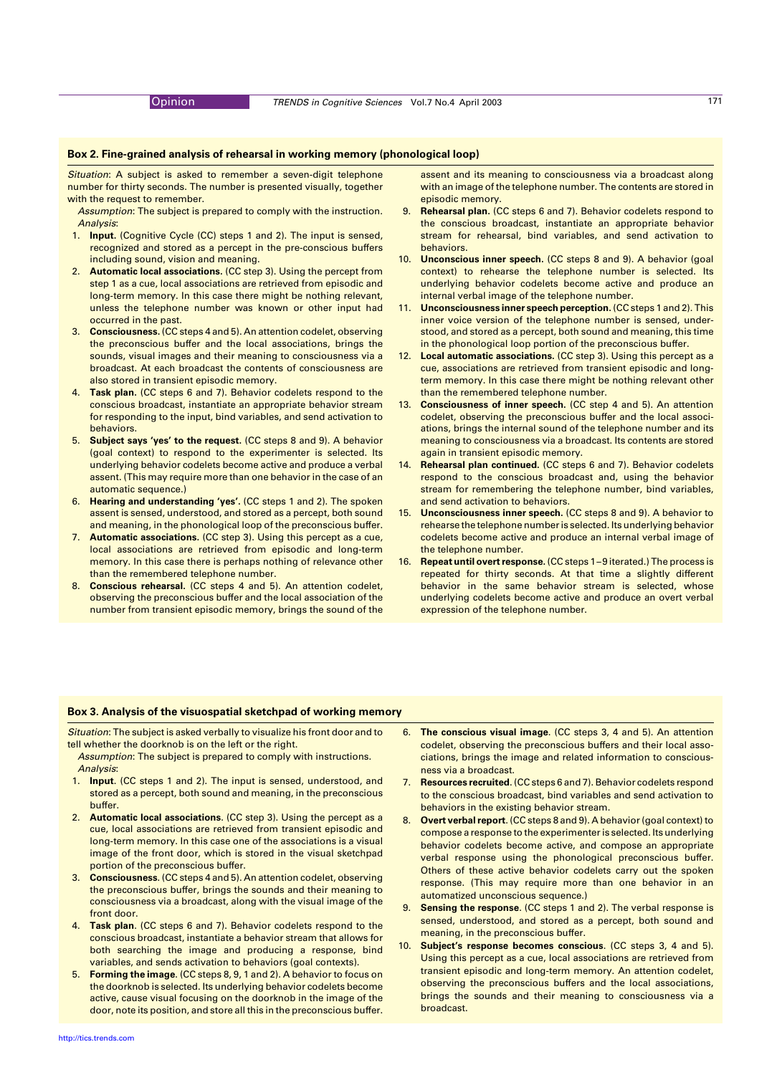### <span id="page-5-0"></span>Box 2. Fine-grained analysis of rehearsal in working memory (phonological loop)

Situation: A subject is asked to remember a seven-digit telephone number for thirty seconds. The number is presented visually, together with the request to remember.

Assumption: The subject is prepared to comply with the instruction. Analysis:

- 1. Input. (Cognitive Cycle (CC) steps 1 and 2). The input is sensed, recognized and stored as a percept in the pre-conscious buffers including sound, vision and meaning.
- Automatic local associations. (CC step 3). Using the percept from step 1 as a cue, local associations are retrieved from episodic and long-term memory. In this case there might be nothing relevant, unless the telephone number was known or other input had occurred in the past.
- 3. Consciousness. (CC steps 4 and 5). An attention codelet, observing the preconscious buffer and the local associations, brings the sounds, visual images and their meaning to consciousness via a broadcast. At each broadcast the contents of consciousness are also stored in transient episodic memory.
- 4. Task plan. (CC steps 6 and 7). Behavior codelets respond to the conscious broadcast, instantiate an appropriate behavior stream for responding to the input, bind variables, and send activation to behaviors.
- 5. Subject says 'yes' to the request. (CC steps 8 and 9). A behavior (goal context) to respond to the experimenter is selected. Its underlying behavior codelets become active and produce a verbal assent. (This may require more than one behavior in the case of an automatic sequence.)
- Hearing and understanding 'yes'. (CC steps 1 and 2). The spoken assent is sensed, understood, and stored as a percept, both sound and meaning, in the phonological loop of the preconscious buffer.
- Automatic associations. (CC step 3). Using this percept as a cue, local associations are retrieved from episodic and long-term memory. In this case there is perhaps nothing of relevance other than the remembered telephone number.
- 8. Conscious rehearsal. (CC steps 4 and 5). An attention codelet, observing the preconscious buffer and the local association of the number from transient episodic memory, brings the sound of the

assent and its meaning to consciousness via a broadcast along with an image of the telephone number. The contents are stored in episodic memory.

- 9. Rehearsal plan. (CC steps 6 and 7). Behavior codelets respond to the conscious broadcast, instantiate an appropriate behavior stream for rehearsal, bind variables, and send activation to behaviors.
- 10. Unconscious inner speech. (CC steps 8 and 9). A behavior (goal context) to rehearse the telephone number is selected. Its underlying behavior codelets become active and produce an internal verbal image of the telephone number.
- Unconsciousness inner speech perception. (CC steps 1 and 2). This inner voice version of the telephone number is sensed, understood, and stored as a percept, both sound and meaning, this time in the phonological loop portion of the preconscious buffer.
- 12. Local automatic associations. (CC step 3). Using this percept as a cue, associations are retrieved from transient episodic and longterm memory. In this case there might be nothing relevant other than the remembered telephone number.
- Consciousness of inner speech. (CC step 4 and 5). An attention codelet, observing the preconscious buffer and the local associations, brings the internal sound of the telephone number and its meaning to consciousness via a broadcast. Its contents are stored again in transient episodic memory.
- 14. Rehearsal plan continued. (CC steps 6 and 7). Behavior codelets respond to the conscious broadcast and, using the behavior stream for remembering the telephone number, bind variables, and send activation to behaviors.
- 15. Unconsciousness inner speech. (CC steps 8 and 9). A behavior to rehearse the telephone number is selected. Its underlying behavior codelets become active and produce an internal verbal image of the telephone number.
- 16. Repeat until overt response. (CC steps 1–9 iterated.) The process is repeated for thirty seconds. At that time a slightly different behavior in the same behavior stream is selected, whose underlying codelets become active and produce an overt verbal expression of the telephone number.

# Box 3. Analysis of the visuospatial sketchpad of working memory

Situation: The subject is asked verbally to visualize his front door and to tell whether the doorknob is on the left or the right.

- Assumption: The subject is prepared to comply with instructions. Analysis:
- 1. Input. (CC steps 1 and 2). The input is sensed, understood, and stored as a percept, both sound and meaning, in the preconscious buffer.
- 2. Automatic local associations. (CC step 3). Using the percept as a cue, local associations are retrieved from transient episodic and long-term memory. In this case one of the associations is a visual image of the front door, which is stored in the visual sketchpad portion of the preconscious buffer.
- 3. Consciousness. (CC steps 4 and 5). An attention codelet, observing the preconscious buffer, brings the sounds and their meaning to consciousness via a broadcast, along with the visual image of the front door.
- 4. Task plan. (CC steps 6 and 7). Behavior codelets respond to the conscious broadcast, instantiate a behavior stream that allows for both searching the image and producing a response, bind variables, and sends activation to behaviors (goal contexts).
- **Forming the image.** (CC steps 8, 9, 1 and 2). A behavior to focus on the doorknob is selected. Its underlying behavior codelets become active, cause visual focusing on the doorknob in the image of the door, note its position, and store all this in the preconscious buffer.
- 6. The conscious visual image. (CC steps 3, 4 and 5). An attention codelet, observing the preconscious buffers and their local associations, brings the image and related information to consciousness via a broadcast.
- 7. Resources recruited. (CC steps 6 and 7). Behavior codelets respond to the conscious broadcast, bind variables and send activation to behaviors in the existing behavior stream.
- 8. Overt verbal report. (CC steps 8 and 9). A behavior (goal context) to compose a response to the experimenter is selected. Its underlying behavior codelets become active, and compose an appropriate verbal response using the phonological preconscious buffer. Others of these active behavior codelets carry out the spoken response. (This may require more than one behavior in an automatized unconscious sequence.)
- 9. Sensing the response. (CC steps 1 and 2). The verbal response is sensed, understood, and stored as a percept, both sound and meaning, in the preconscious buffer.
- 10. Subject's response becomes conscious. (CC steps 3, 4 and 5). Using this percept as a cue, local associations are retrieved from transient episodic and long-term memory. An attention codelet, observing the preconscious buffers and the local associations, brings the sounds and their meaning to consciousness via a broadcast.